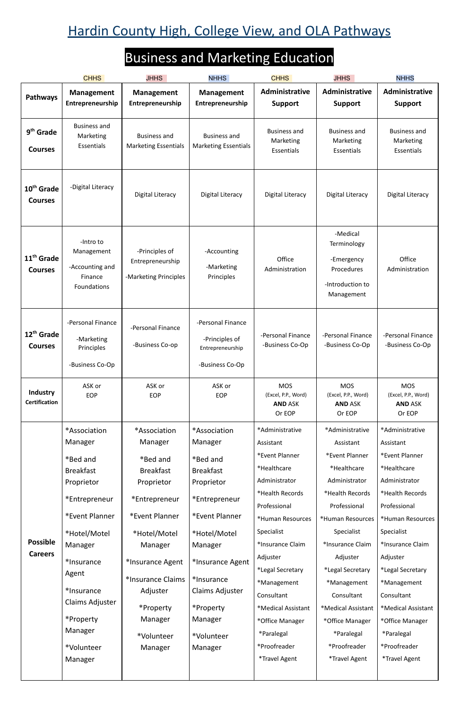## Hardin County High, College View, and OLA Pathways

## Business and Marketing Education

|                                          | <b>CHHS</b>                                                                                                                                                                                                                                  | <b>JHHS</b>                                                                                                                                                                                                                               | <b>NHHS</b>                                                                                                                                                                                                                               | <b>CHHS</b>                                                                                                                                                                                                                                                                                                                                | <b>JHHS</b>                                                                                                                                                                                                                                                                                                                  | <b>NHHS</b>                                                                                                                                                                                                                                                                                                                                |
|------------------------------------------|----------------------------------------------------------------------------------------------------------------------------------------------------------------------------------------------------------------------------------------------|-------------------------------------------------------------------------------------------------------------------------------------------------------------------------------------------------------------------------------------------|-------------------------------------------------------------------------------------------------------------------------------------------------------------------------------------------------------------------------------------------|--------------------------------------------------------------------------------------------------------------------------------------------------------------------------------------------------------------------------------------------------------------------------------------------------------------------------------------------|------------------------------------------------------------------------------------------------------------------------------------------------------------------------------------------------------------------------------------------------------------------------------------------------------------------------------|--------------------------------------------------------------------------------------------------------------------------------------------------------------------------------------------------------------------------------------------------------------------------------------------------------------------------------------------|
| <b>Pathways</b>                          | <b>Management</b><br>Entrepreneurship                                                                                                                                                                                                        | <b>Management</b><br>Entrepreneurship                                                                                                                                                                                                     | <b>Management</b><br>Entrepreneurship                                                                                                                                                                                                     | Administrative<br><b>Support</b>                                                                                                                                                                                                                                                                                                           | Administrative<br><b>Support</b>                                                                                                                                                                                                                                                                                             | Administrative<br><b>Support</b>                                                                                                                                                                                                                                                                                                           |
| 9 <sup>th</sup> Grade<br><b>Courses</b>  | <b>Business and</b><br>Marketing<br>Essentials                                                                                                                                                                                               | <b>Business and</b><br><b>Marketing Essentials</b>                                                                                                                                                                                        | <b>Business and</b><br><b>Marketing Essentials</b>                                                                                                                                                                                        | <b>Business and</b><br>Marketing<br>Essentials                                                                                                                                                                                                                                                                                             | <b>Business and</b><br>Marketing<br>Essentials                                                                                                                                                                                                                                                                               | <b>Business and</b><br>Marketing<br>Essentials                                                                                                                                                                                                                                                                                             |
| 10 <sup>th</sup> Grade<br><b>Courses</b> | -Digital Literacy                                                                                                                                                                                                                            | Digital Literacy                                                                                                                                                                                                                          | <b>Digital Literacy</b>                                                                                                                                                                                                                   | Digital Literacy                                                                                                                                                                                                                                                                                                                           | Digital Literacy                                                                                                                                                                                                                                                                                                             | <b>Digital Literacy</b>                                                                                                                                                                                                                                                                                                                    |
| 11 <sup>th</sup> Grade<br><b>Courses</b> | -Intro to<br>Management<br>-Accounting and<br>Finance<br>Foundations                                                                                                                                                                         | -Principles of<br>Entrepreneurship<br>-Marketing Principles                                                                                                                                                                               | -Accounting<br>-Marketing<br>Principles                                                                                                                                                                                                   | Office<br>Administration                                                                                                                                                                                                                                                                                                                   | -Medical<br>Terminology<br>-Emergency<br>Procedures<br>-Introduction to<br>Management                                                                                                                                                                                                                                        | Office<br>Administration                                                                                                                                                                                                                                                                                                                   |
| 12 <sup>th</sup> Grade<br><b>Courses</b> | -Personal Finance<br>-Marketing<br>Principles<br>-Business Co-Op                                                                                                                                                                             | -Personal Finance<br>-Business Co-op                                                                                                                                                                                                      | -Personal Finance<br>-Principles of<br>Entrepreneurship<br>-Business Co-Op                                                                                                                                                                | -Personal Finance<br>-Business Co-Op                                                                                                                                                                                                                                                                                                       | -Personal Finance<br>-Business Co-Op                                                                                                                                                                                                                                                                                         | -Personal Finance<br>-Business Co-Op                                                                                                                                                                                                                                                                                                       |
| Industry<br><b>Certification</b>         | ASK or<br><b>EOP</b>                                                                                                                                                                                                                         | ASK or<br>EOP                                                                                                                                                                                                                             | ASK or<br>EOP                                                                                                                                                                                                                             | <b>MOS</b><br>(Excel, P.P., Word)<br><b>AND ASK</b><br>Or EOP                                                                                                                                                                                                                                                                              | <b>MOS</b><br>(Excel, P.P., Word)<br><b>AND ASK</b><br>Or EOP                                                                                                                                                                                                                                                                | <b>MOS</b><br>(Excel, P.P., Word)<br><b>AND ASK</b><br>Or EOP                                                                                                                                                                                                                                                                              |
| <b>Possible</b><br><b>Careers</b>        | *Association<br>Manager<br>*Bed and<br><b>Breakfast</b><br>Proprietor<br>*Entrepreneur<br>*Event Planner<br>*Hotel/Motel<br>Manager<br>*Insurance<br>Agent<br>*Insurance<br>Claims Adjuster<br>*Property<br>Manager<br>*Volunteer<br>Manager | *Association<br>Manager<br>*Bed and<br><b>Breakfast</b><br>Proprietor<br>*Entrepreneur<br>*Event Planner<br>*Hotel/Motel<br>Manager<br>*Insurance Agent<br>*Insurance Claims<br>Adjuster<br>*Property<br>Manager<br>*Volunteer<br>Manager | *Association<br>Manager<br>*Bed and<br><b>Breakfast</b><br>Proprietor<br>*Entrepreneur<br>*Event Planner<br>*Hotel/Motel<br>Manager<br>*Insurance Agent<br>*Insurance<br>Claims Adjuster<br>*Property<br>Manager<br>*Volunteer<br>Manager | *Administrative<br>Assistant<br>*Event Planner<br>*Healthcare<br>Administrator<br>*Health Records<br>Professional<br>*Human Resources<br>Specialist<br>*Insurance Claim<br>Adjuster<br>*Legal Secretary<br>*Management<br>Consultant<br>*Medical Assistant<br>*Office Manager<br>*Paralegal<br>*Proofreader<br><i><b>*Travel Agent</b></i> | *Administrative<br>Assistant<br>*Event Planner<br>*Healthcare<br>Administrator<br>*Health Records<br>Professional<br>*Human Resources<br>Specialist<br>*Insurance Claim<br>Adjuster<br>*Legal Secretary<br>*Management<br>Consultant<br>*Medical Assistant<br>*Office Manager<br>*Paralegal<br>*Proofreader<br>*Travel Agent | *Administrative<br>Assistant<br>*Event Planner<br>*Healthcare<br>Administrator<br>*Health Records<br>Professional<br>*Human Resources<br>Specialist<br>*Insurance Claim<br>Adjuster<br>*Legal Secretary<br>*Management<br>Consultant<br>*Medical Assistant<br>*Office Manager<br>*Paralegal<br>*Proofreader<br><i><b>*Travel Agent</b></i> |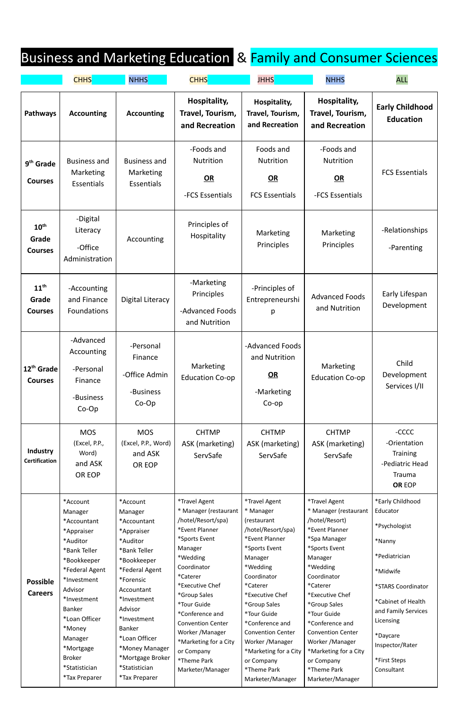## Business and Marketing Education & Family and Consumer Sciences

`Accountant \*Appraiser \*Auditor \*Bank Teller \*Bookkeeper \*Federal Agent \*Investment Advisor \*Investment Banker \*Loan Officer \*Money Manager \*Mortgage Broker \*Statistician \*Tax Preparer `Accountant \*Appraiser \*Auditor \*Bank Teller \*Bookkeeper \*Federal Agent \*Forensic Accountant \*Investment Advisor \*Investment Banker \*Loan Officer \*Money Manager \*Mortgage Broker \*Statistician \*Tax Preparer

|                                             | <b>CHHS</b>                                                             | <b>NHHS</b>                                                   | <b>CHHS</b>                                                  | <b>JHHS</b>                                                      | <b>NHHS</b>                                              | <b>ALL</b>                                                                             |
|---------------------------------------------|-------------------------------------------------------------------------|---------------------------------------------------------------|--------------------------------------------------------------|------------------------------------------------------------------|----------------------------------------------------------|----------------------------------------------------------------------------------------|
| <b>Pathways</b>                             | <b>Accounting</b>                                                       | <b>Accounting</b>                                             | Hospitality,<br>Travel, Tourism,<br>and Recreation           | Hospitality,<br>Travel, Tourism,<br>and Recreation               | Hospitality,<br>Travel, Tourism,<br>and Recreation       | <b>Early Childhood</b><br><b>Education</b>                                             |
| 9 <sup>th</sup> Grade<br><b>Courses</b>     | <b>Business and</b><br>Marketing<br><b>Essentials</b>                   | <b>Business and</b><br>Marketing<br><b>Essentials</b>         | -Foods and<br><b>Nutrition</b><br>OR<br>-FCS Essentials      | Foods and<br><b>Nutrition</b><br>OR<br><b>FCS Essentials</b>     | -Foods and<br><b>Nutrition</b><br>OR<br>-FCS Essentials  | <b>FCS Essentials</b>                                                                  |
| $10^{\text{th}}$<br>Grade<br><b>Courses</b> | -Digital<br>Literacy<br>-Office<br>Administration                       | Accounting                                                    | Principles of<br>Hospitality                                 | Marketing<br>Principles                                          | Marketing<br>Principles                                  | -Relationships<br>-Parenting                                                           |
| $11^{\text{th}}$<br>Grade<br><b>Courses</b> | -Accounting<br>and Finance<br><b>Foundations</b>                        | Digital Literacy                                              | -Marketing<br>Principles<br>-Advanced Foods<br>and Nutrition | -Principles of<br>Entrepreneurshi<br>p                           | <b>Advanced Foods</b><br>and Nutrition                   | Early Lifespan<br>Development                                                          |
| 12 <sup>th</sup> Grade<br><b>Courses</b>    | -Advanced<br>Accounting<br>-Personal<br>Finance<br>-Business<br>$Co-Op$ | -Personal<br>Finance<br>-Office Admin<br>-Business<br>$Co-Op$ | Marketing<br><b>Education Co-op</b>                          | -Advanced Foods<br>and Nutrition<br>OR<br>-Marketing<br>$Co$ -op | Marketing<br><b>Education Co-op</b>                      | Child<br>Development<br>Services I/II                                                  |
| Industry<br><b>Certification</b>            | <b>MOS</b><br>(Excel, P.P.,<br>Word)<br>and ASK<br>OR EOP               | <b>MOS</b><br>(Excel, P.P., Word)<br>and ASK<br>OR EOP        | <b>CHTMP</b><br>ASK (marketing)<br>ServSafe                  | <b>CHTMP</b><br>ASK (marketing)<br>ServSafe                      | <b>CHTMP</b><br>ASK (marketing)<br>ServSafe              | -CCCC<br>-Orientation<br><b>Training</b><br>-Pediatric Head<br>Trauma<br><b>OR EOP</b> |
|                                             | *Account<br>Manager                                                     | *Account<br>Manager<br>$*$ $8$ $0.0011$ $*$ $*$ $*$           | *Travel Agent<br>* Manager (restaurant<br>(hotel/Resort/sna) | <i><b>*Travel Agent</b></i><br>* Manager<br>Iractual             | *Travel Agent<br>* Manager (restaurant<br>/hotel/Resort) | *Early Childhood<br>Educator                                                           |

**Possible Careers**

/hotel/Resort/spa) \*Event Planner \*Sports Event Manager \*Wedding Coordinator \*Caterer \*Executive Chef \*Group Sales \*Tour Guide \*Conference and Convention Center Worker /Manager \*Marketing for a City or Company \*Theme Park Marketer/Manager

(restaurant /hotel/Resort/spa) \*Event Planner \*Sports Event Manager \*Wedding Coordinator \*Caterer \*Executive Chef \*Group Sales \*Tour Guide \*Conference and Convention Center Worker /Manager \*Marketing for a City or Company \*Theme Park Marketer/Manager

/hotel/Resort) \*Event Planner \*Spa Manager \*Sports Event Manager \*Wedding Coordinator \*Caterer \*Executive Chef \*Group Sales \*Tour Guide \*Conference and Convention Center Worker /Manager \*Marketing for a City or Company \*Theme Park Marketer/Manager

\*Psychologist \*Nanny \*Pediatrician \*Midwife \*STARS Coordinator \*Cabinet of Health and Family Services Licensing \*Daycare Inspector/Rater \*First Steps Consultant